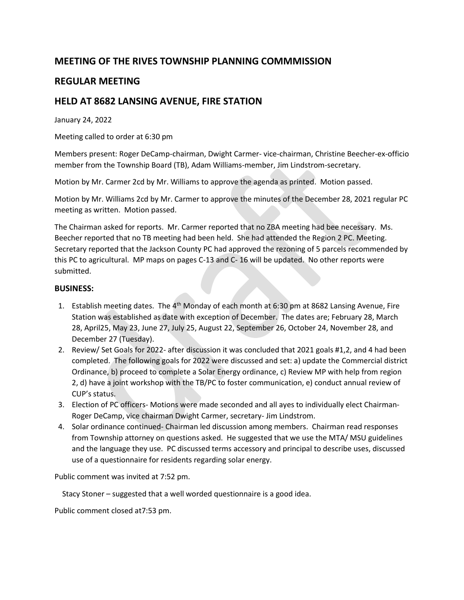## **MEETING OF THE RIVES TOWNSHIP PLANNING COMMMISSION**

## **REGULAR MEETING**

## **HELD AT 8682 LANSING AVENUE, FIRE STATION**

January 24, 2022

Meeting called to order at 6:30 pm

Members present: Roger DeCamp-chairman, Dwight Carmer- vice-chairman, Christine Beecher-ex-officio member from the Township Board (TB), Adam Williams-member, Jim Lindstrom-secretary.

Motion by Mr. Carmer 2cd by Mr. Williams to approve the agenda as printed. Motion passed.

Motion by Mr. Williams 2cd by Mr. Carmer to approve the minutes of the December 28, 2021 regular PC meeting as written. Motion passed.

The Chairman asked for reports. Mr. Carmer reported that no ZBA meeting had bee necessary. Ms. Beecher reported that no TB meeting had been held. She had attended the Region 2 PC. Meeting. Secretary reported that the Jackson County PC had approved the rezoning of 5 parcels recommended by this PC to agricultural. MP maps on pages C-13 and C- 16 will be updated. No other reports were submitted.

## **BUSINESS:**

- 1. Establish meeting dates. The 4<sup>th</sup> Monday of each month at 6:30 pm at 8682 Lansing Avenue, Fire Station was established as date with exception of December. The dates are; February 28, March 28, April25, May 23, June 27, July 25, August 22, September 26, October 24, November 28, and December 27 (Tuesday).
- 2. Review/ Set Goals for 2022- after discussion it was concluded that 2021 goals #1,2, and 4 had been completed. The following goals for 2022 were discussed and set: a) update the Commercial district Ordinance, b) proceed to complete a Solar Energy ordinance, c) Review MP with help from region 2, d) have a joint workshop with the TB/PC to foster communication, e) conduct annual review of CUP's status.
- 3. Election of PC officers- Motions were made seconded and all ayes to individually elect Chairman-Roger DeCamp, vice chairman Dwight Carmer, secretary- Jim Lindstrom.
- 4. Solar ordinance continued- Chairman led discussion among members. Chairman read responses from Township attorney on questions asked. He suggested that we use the MTA/ MSU guidelines and the language they use. PC discussed terms accessory and principal to describe uses, discussed use of a questionnaire for residents regarding solar energy.

Public comment was invited at 7:52 pm.

Stacy Stoner – suggested that a well worded questionnaire is a good idea.

Public comment closed at7:53 pm.